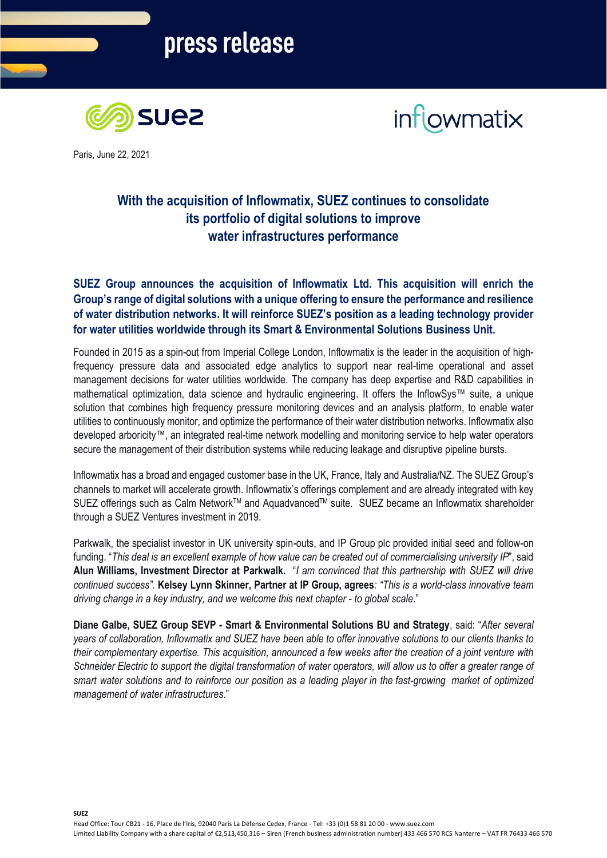



Paris, June 22, 2021

## **With the acquisition of Inflowmatix, SUEZ continues to consolidate its portfolio of digital solutions to improve water infrastructures performance**

**SUEZ Group announces the acquisition of Inflowmatix Ltd. This acquisition will enrich the Group's range of digital solutions with a unique offering to ensure the performance and resilience of water distribution networks. It will reinforce SUEZ's position as a leading technology provider for water utilities worldwide through its Smart & Environmental Solutions Business Unit.**

Founded in 2015 as a spin-out from Imperial College London, Inflowmatix is the leader in the acquisition of highfrequency pressure data and associated edge analytics to support near real-time operational and asset management decisions for water utilities worldwide. The company has deep expertise and R&D capabilities in mathematical optimization, data science and hydraulic engineering. It offers the InflowSys™ suite, a unique solution that combines high frequency pressure monitoring devices and an analysis platform, to enable water utilities to continuously monitor, and optimize the performance of their water distribution networks. Inflowmatix also developed arboricity™, an integrated real-time network modelling and monitoring service to help water operators secure the management of their distribution systems while reducing leakage and disruptive pipeline bursts.

Inflowmatix has a broad and engaged customer base in the UK, France, Italy and Australia/NZ. The SUEZ Group's channels to market will accelerate growth. Inflowmatix's offerings complement and are already integrated with key SUEZ offerings such as Calm Network™ and Aquadvanced™ suite. SUEZ became an Inflowmatix shareholder through a SUEZ Ventures investment in 2019.

Parkwalk, the specialist investor in UK university spin-outs, and IP Group plc provided initial seed and follow-on funding. "*This deal is an excellent example of how value can be created out of commercialising university IP*", said **Alun Williams, Investment Director at Parkwalk.** "*I am convinced that this partnership with SUEZ will drive continued success".* **Kelsey Lynn Skinner, Partner at IP Group, agrees***: "This is a world-class innovative team driving change in a key industry, and we welcome this next chapter - to global scale*."

**Diane Galbe, SUEZ Group SEVP - Smart & Environmental Solutions BU and Strategy**, said: "*After several years of collaboration, Inflowmatix and SUEZ have been able to offer innovative solutions to our clients thanks to their complementary expertise. This acquisition, announced a few weeks after the creation of a joint venture with Schneider Electric to support the digital transformation of water operators, will allow us to offer a greater range of smart water solutions and to reinforce our position as a leading player in the fast-growing market of optimized management of water infrastructures*."